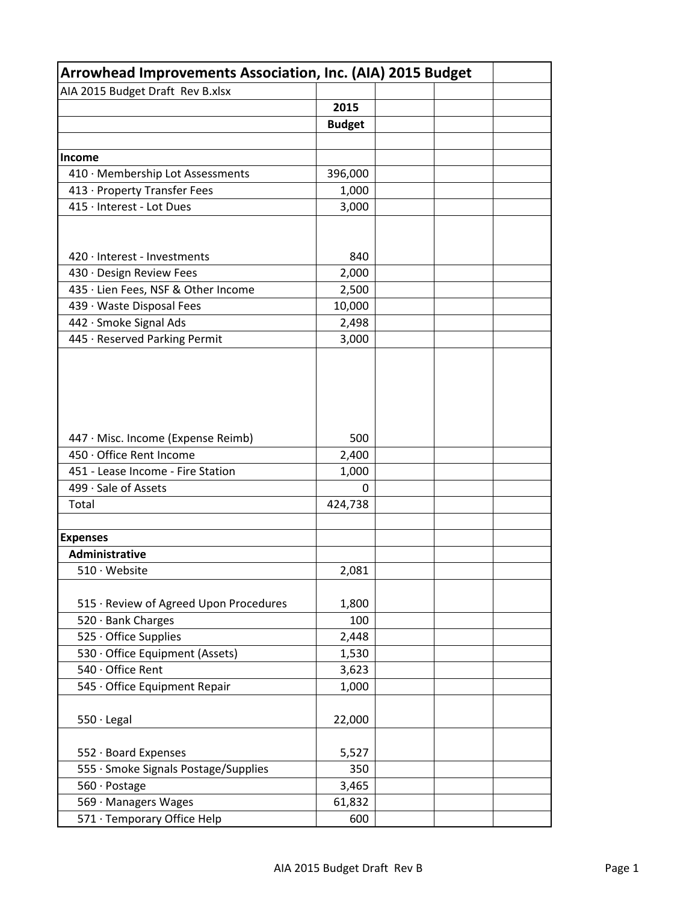| Arrowhead Improvements Association, Inc. (AIA) 2015 Budget |               |  |  |  |
|------------------------------------------------------------|---------------|--|--|--|
| AIA 2015 Budget Draft Rev B.xlsx                           |               |  |  |  |
|                                                            | 2015          |  |  |  |
|                                                            | <b>Budget</b> |  |  |  |
|                                                            |               |  |  |  |
| <b>Income</b>                                              |               |  |  |  |
| 410 · Membership Lot Assessments                           | 396,000       |  |  |  |
| 413 · Property Transfer Fees                               | 1,000         |  |  |  |
| 415 · Interest - Lot Dues                                  | 3,000         |  |  |  |
|                                                            |               |  |  |  |
|                                                            |               |  |  |  |
| 420 · Interest - Investments                               | 840           |  |  |  |
| 430 · Design Review Fees                                   | 2,000         |  |  |  |
| 435 · Lien Fees, NSF & Other Income                        | 2,500         |  |  |  |
| 439 · Waste Disposal Fees                                  | 10,000        |  |  |  |
| 442 · Smoke Signal Ads                                     | 2,498         |  |  |  |
| 445 · Reserved Parking Permit                              | 3,000         |  |  |  |
|                                                            |               |  |  |  |
|                                                            |               |  |  |  |
|                                                            |               |  |  |  |
|                                                            |               |  |  |  |
|                                                            |               |  |  |  |
| 447 · Misc. Income (Expense Reimb)                         | 500           |  |  |  |
| 450 · Office Rent Income                                   | 2,400         |  |  |  |
| 451 - Lease Income - Fire Station                          | 1,000         |  |  |  |
| 499 · Sale of Assets                                       | 0             |  |  |  |
| Total                                                      | 424,738       |  |  |  |
|                                                            |               |  |  |  |
| <b>Expenses</b>                                            |               |  |  |  |
| Administrative                                             |               |  |  |  |
| 510 · Website                                              | 2,081         |  |  |  |
|                                                            |               |  |  |  |
| 515 · Review of Agreed Upon Procedures                     | 1,800         |  |  |  |
| 520 · Bank Charges                                         | 100           |  |  |  |
| 525 · Office Supplies                                      | 2,448         |  |  |  |
| 530 · Office Equipment (Assets)                            | 1,530         |  |  |  |
| 540 · Office Rent                                          | 3,623         |  |  |  |
| 545 · Office Equipment Repair                              | 1,000         |  |  |  |
|                                                            |               |  |  |  |
| $550 \cdot$ Legal                                          | 22,000        |  |  |  |
|                                                            |               |  |  |  |
| 552 · Board Expenses                                       | 5,527         |  |  |  |
| 555 · Smoke Signals Postage/Supplies                       | 350           |  |  |  |
| 560 · Postage                                              | 3,465         |  |  |  |
| 569 · Managers Wages                                       | 61,832        |  |  |  |
| 571 · Temporary Office Help                                | 600           |  |  |  |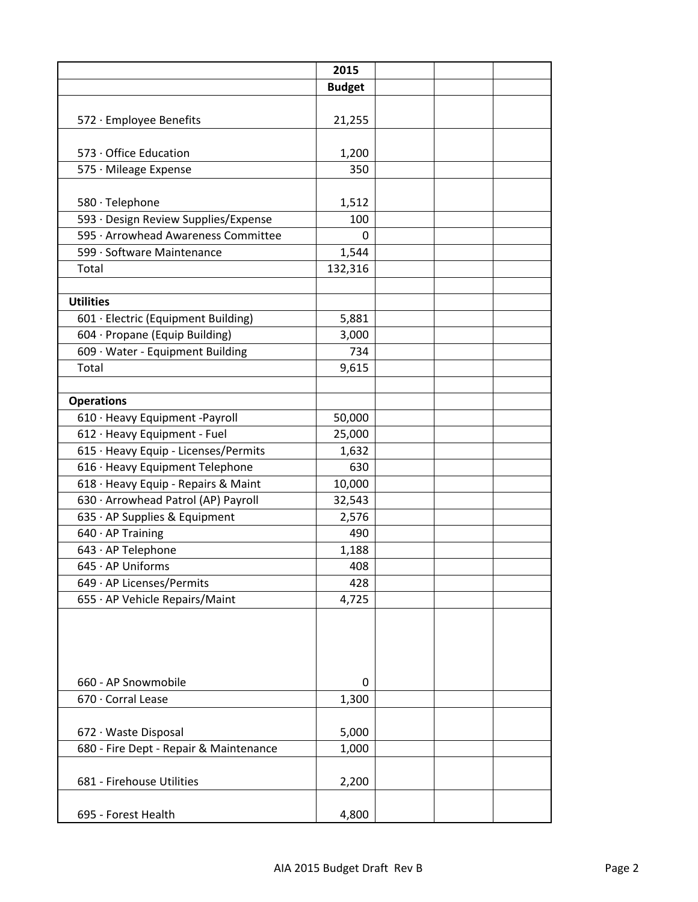|                                        | 2015          |  |
|----------------------------------------|---------------|--|
|                                        | <b>Budget</b> |  |
|                                        |               |  |
| 572 · Employee Benefits                | 21,255        |  |
|                                        |               |  |
| 573 · Office Education                 | 1,200         |  |
| 575 · Mileage Expense                  | 350           |  |
|                                        |               |  |
| 580 · Telephone                        | 1,512         |  |
| 593 · Design Review Supplies/Expense   | 100           |  |
| 595 · Arrowhead Awareness Committee    | $\Omega$      |  |
| 599 · Software Maintenance             | 1,544         |  |
| Total                                  | 132,316       |  |
|                                        |               |  |
| <b>Utilities</b>                       |               |  |
| 601 · Electric (Equipment Building)    | 5,881         |  |
| 604 · Propane (Equip Building)         | 3,000         |  |
| 609 · Water - Equipment Building       | 734           |  |
| Total                                  | 9,615         |  |
|                                        |               |  |
| <b>Operations</b>                      |               |  |
| 610 · Heavy Equipment -Payroll         | 50,000        |  |
| 612 · Heavy Equipment - Fuel           | 25,000        |  |
| 615 · Heavy Equip - Licenses/Permits   | 1,632         |  |
| 616 · Heavy Equipment Telephone        | 630           |  |
| 618 · Heavy Equip - Repairs & Maint    | 10,000        |  |
| 630 · Arrowhead Patrol (AP) Payroll    | 32,543        |  |
| 635 · AP Supplies & Equipment          | 2,576         |  |
| 640 · AP Training                      | 490           |  |
| 643 · AP Telephone                     | 1,188         |  |
| 645 · AP Uniforms                      | 408           |  |
| 649 · AP Licenses/Permits              | 428           |  |
| 655 · AP Vehicle Repairs/Maint         | 4,725         |  |
|                                        |               |  |
|                                        |               |  |
|                                        |               |  |
|                                        |               |  |
| 660 - AP Snowmobile                    | 0             |  |
| 670 · Corral Lease                     | 1,300         |  |
|                                        |               |  |
| 672 · Waste Disposal                   | 5,000         |  |
| 680 - Fire Dept - Repair & Maintenance | 1,000         |  |
|                                        |               |  |
| 681 - Firehouse Utilities              | 2,200         |  |
|                                        |               |  |
| 695 - Forest Health                    | 4,800         |  |